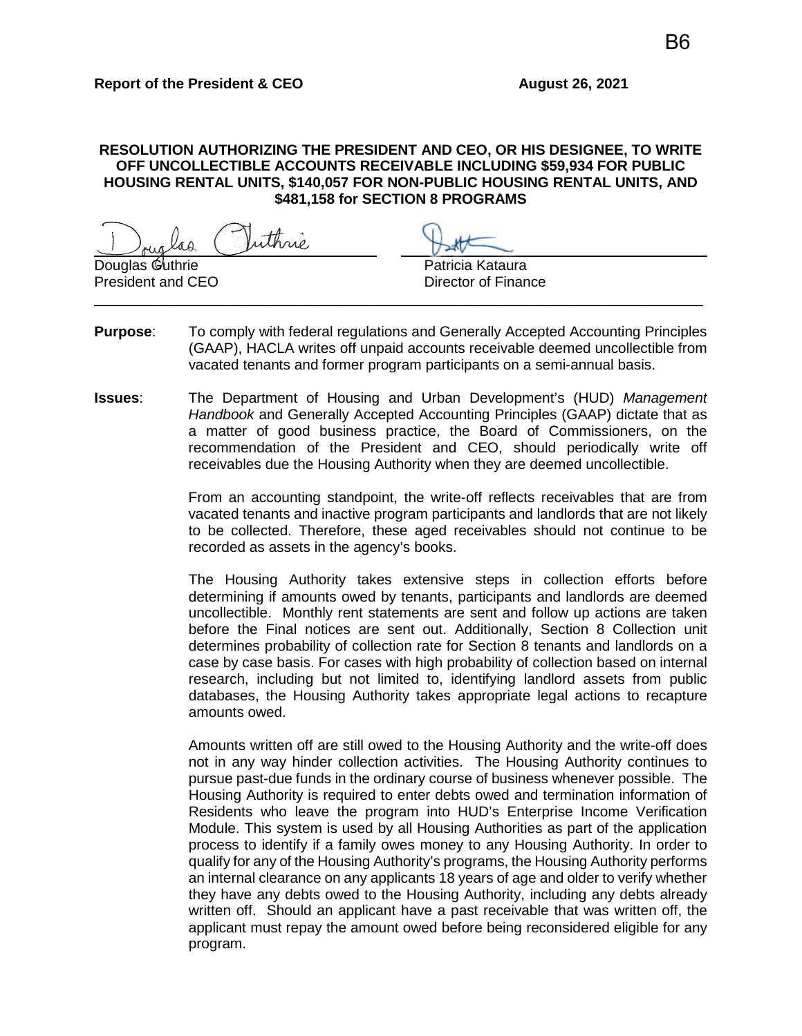## **RESOLUTION AUTHORIZING THE PRESIDENT AND CEO, OR HIS DESIGNEE, TO WRITE OFF UNCOLLECTIBLE ACCOUNTS RECEIVABLE INCLUDING \$59,934 FOR PUBLIC HOUSING RENTAL UNITS, \$140,057 FOR NON-PUBLIC HOUSING RENTAL UNITS, AND \$481,158 for SECTION 8 PROGRAMS**

uthné

Douglas Guthrie Patricia Kataura President and CEO Director of Finance

**Purpose**: To comply with federal regulations and Generally Accepted Accounting Principles (GAAP), HACLA writes off unpaid accounts receivable deemed uncollectible from vacated tenants and former program participants on a semi-annual basis.

\_\_\_\_\_\_\_\_\_\_\_\_\_\_\_\_\_\_\_\_\_\_\_\_\_\_\_\_\_\_\_\_\_\_\_\_\_\_\_\_\_\_\_\_\_\_\_\_\_\_\_\_\_\_\_\_\_\_\_\_\_\_\_\_\_\_\_\_\_\_\_\_\_\_\_\_

**Issues**: The Department of Housing and Urban Development's (HUD) *Management Handbook* and Generally Accepted Accounting Principles (GAAP) dictate that as a matter of good business practice, the Board of Commissioners, on the recommendation of the President and CEO, should periodically write off receivables due the Housing Authority when they are deemed uncollectible.

> From an accounting standpoint, the write-off reflects receivables that are from vacated tenants and inactive program participants and landlords that are not likely to be collected. Therefore, these aged receivables should not continue to be recorded as assets in the agency's books.

> The Housing Authority takes extensive steps in collection efforts before determining if amounts owed by tenants, participants and landlords are deemed uncollectible. Monthly rent statements are sent and follow up actions are taken before the Final notices are sent out. Additionally, Section 8 Collection unit determines probability of collection rate for Section 8 tenants and landlords on a case by case basis. For cases with high probability of collection based on internal research, including but not limited to, identifying landlord assets from public databases, the Housing Authority takes appropriate legal actions to recapture amounts owed.

> Amounts written off are still owed to the Housing Authority and the write-off does not in any way hinder collection activities. The Housing Authority continues to pursue past-due funds in the ordinary course of business whenever possible. The Housing Authority is required to enter debts owed and termination information of Residents who leave the program into HUD's Enterprise Income Verification Module. This system is used by all Housing Authorities as part of the application process to identify if a family owes money to any Housing Authority. In order to qualify for any of the Housing Authority's programs, the Housing Authority performs an internal clearance on any applicants 18 years of age and older to verify whether they have any debts owed to the Housing Authority, including any debts already written off. Should an applicant have a past receivable that was written off, the applicant must repay the amount owed before being reconsidered eligible for any program.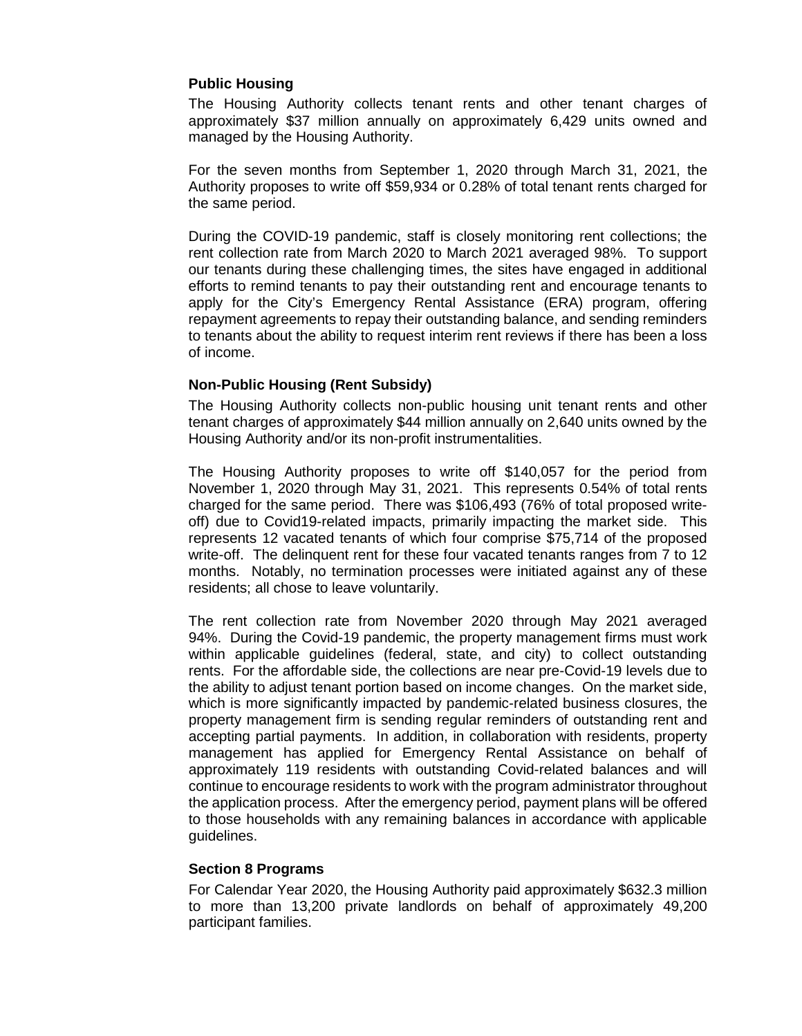## **Public Housing**

The Housing Authority collects tenant rents and other tenant charges of approximately \$37 million annually on approximately 6,429 units owned and managed by the Housing Authority.

For the seven months from September 1, 2020 through March 31, 2021, the Authority proposes to write off \$59,934 or 0.28% of total tenant rents charged for the same period.

During the COVID-19 pandemic, staff is closely monitoring rent collections; the rent collection rate from March 2020 to March 2021 averaged 98%. To support our tenants during these challenging times, the sites have engaged in additional efforts to remind tenants to pay their outstanding rent and encourage tenants to apply for the City's Emergency Rental Assistance (ERA) program, offering repayment agreements to repay their outstanding balance, and sending reminders to tenants about the ability to request interim rent reviews if there has been a loss of income.

## **Non-Public Housing (Rent Subsidy)**

The Housing Authority collects non-public housing unit tenant rents and other tenant charges of approximately \$44 million annually on 2,640 units owned by the Housing Authority and/or its non-profit instrumentalities.

The Housing Authority proposes to write off \$140,057 for the period from November 1, 2020 through May 31, 2021. This represents 0.54% of total rents charged for the same period. There was \$106,493 (76% of total proposed writeoff) due to Covid19-related impacts, primarily impacting the market side. This represents 12 vacated tenants of which four comprise \$75,714 of the proposed write-off. The delinquent rent for these four vacated tenants ranges from 7 to 12 months. Notably, no termination processes were initiated against any of these residents; all chose to leave voluntarily.

The rent collection rate from November 2020 through May 2021 averaged 94%. During the Covid-19 pandemic, the property management firms must work within applicable guidelines (federal, state, and city) to collect outstanding rents. For the affordable side, the collections are near pre-Covid-19 levels due to the ability to adjust tenant portion based on income changes. On the market side, which is more significantly impacted by pandemic-related business closures, the property management firm is sending regular reminders of outstanding rent and accepting partial payments. In addition, in collaboration with residents, property management has applied for Emergency Rental Assistance on behalf of approximately 119 residents with outstanding Covid-related balances and will continue to encourage residents to work with the program administrator throughout the application process. After the emergency period, payment plans will be offered to those households with any remaining balances in accordance with applicable guidelines.

### **Section 8 Programs**

For Calendar Year 2020, the Housing Authority paid approximately \$632.3 million to more than 13,200 private landlords on behalf of approximately 49,200 participant families.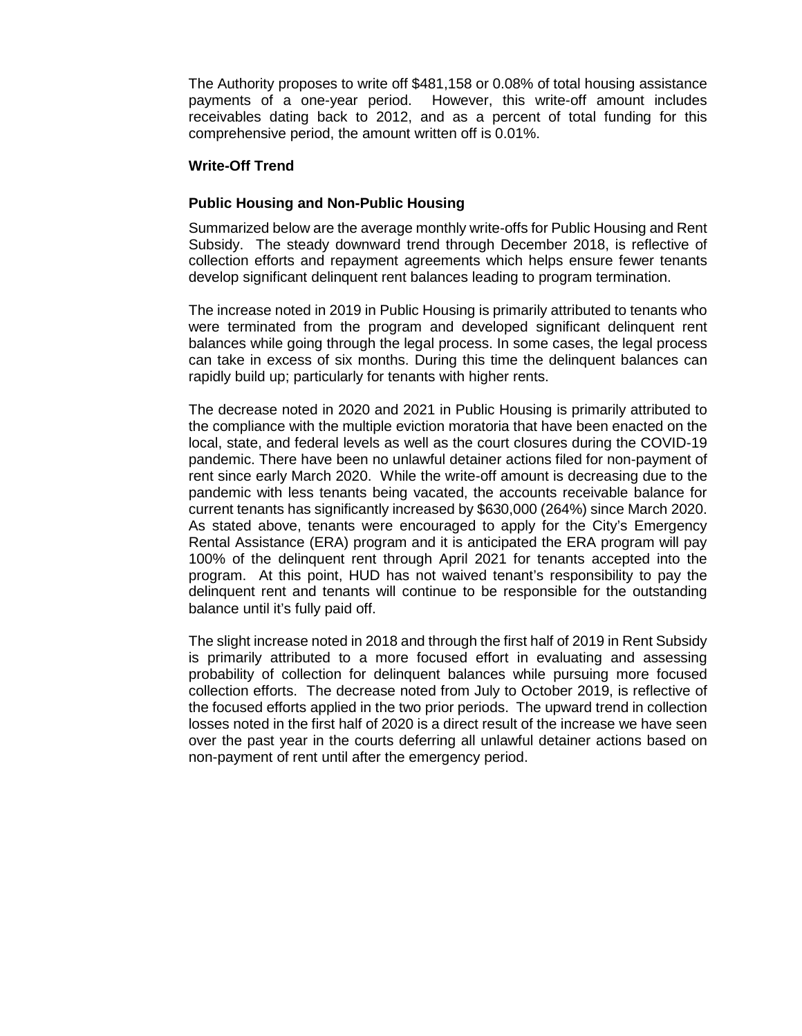The Authority proposes to write off \$481,158 or 0.08% of total housing assistance payments of a one-year period. However, this write-off amount includes receivables dating back to 2012, and as a percent of total funding for this comprehensive period, the amount written off is 0.01%.

#### **Write-Off Trend**

### **Public Housing and Non-Public Housing**

Summarized below are the average monthly write-offs for Public Housing and Rent Subsidy. The steady downward trend through December 2018, is reflective of collection efforts and repayment agreements which helps ensure fewer tenants develop significant delinquent rent balances leading to program termination.

The increase noted in 2019 in Public Housing is primarily attributed to tenants who were terminated from the program and developed significant delinquent rent balances while going through the legal process. In some cases, the legal process can take in excess of six months. During this time the delinquent balances can rapidly build up; particularly for tenants with higher rents.

The decrease noted in 2020 and 2021 in Public Housing is primarily attributed to the compliance with the multiple eviction moratoria that have been enacted on the local, state, and federal levels as well as the court closures during the COVID-19 pandemic. There have been no unlawful detainer actions filed for non-payment of rent since early March 2020. While the write-off amount is decreasing due to the pandemic with less tenants being vacated, the accounts receivable balance for current tenants has significantly increased by \$630,000 (264%) since March 2020. As stated above, tenants were encouraged to apply for the City's Emergency Rental Assistance (ERA) program and it is anticipated the ERA program will pay 100% of the delinquent rent through April 2021 for tenants accepted into the program. At this point, HUD has not waived tenant's responsibility to pay the delinquent rent and tenants will continue to be responsible for the outstanding balance until it's fully paid off.

The slight increase noted in 2018 and through the first half of 2019 in Rent Subsidy is primarily attributed to a more focused effort in evaluating and assessing probability of collection for delinquent balances while pursuing more focused collection efforts. The decrease noted from July to October 2019, is reflective of the focused efforts applied in the two prior periods. The upward trend in collection losses noted in the first half of 2020 is a direct result of the increase we have seen over the past year in the courts deferring all unlawful detainer actions based on non-payment of rent until after the emergency period.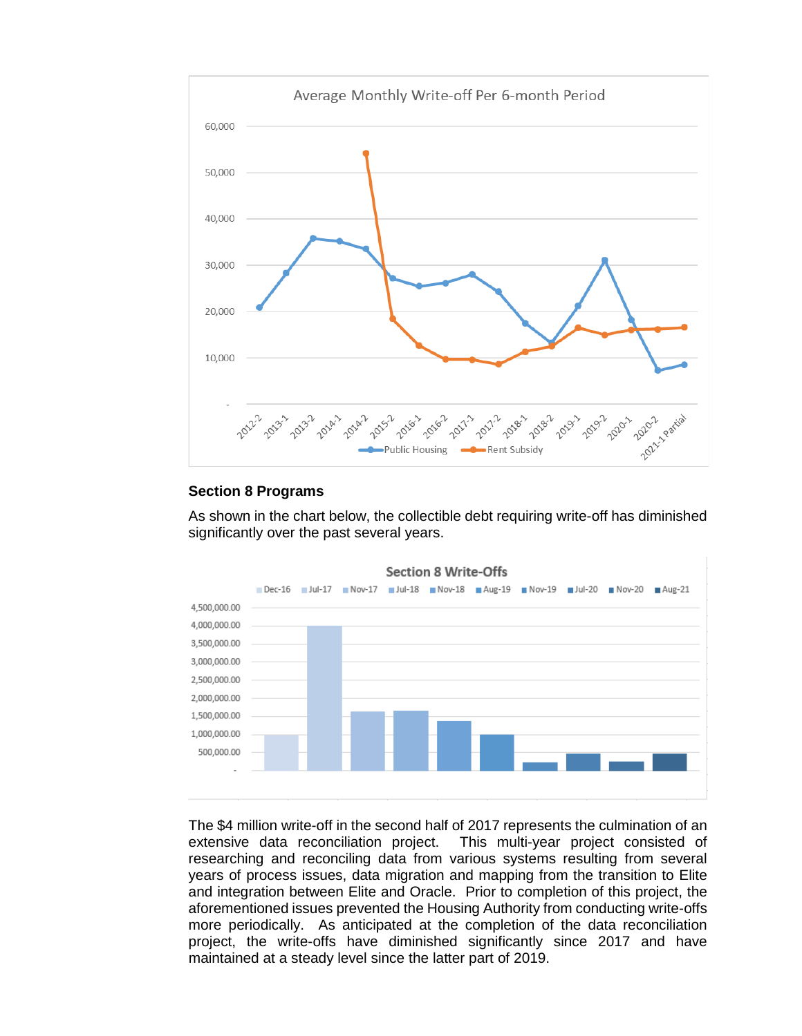

## **Section 8 Programs**

As shown in the chart below, the collectible debt requiring write-off has diminished significantly over the past several years.



The \$4 million write-off in the second half of 2017 represents the culmination of an extensive data reconciliation project. This multi-year project consisted of researching and reconciling data from various systems resulting from several years of process issues, data migration and mapping from the transition to Elite and integration between Elite and Oracle. Prior to completion of this project, the aforementioned issues prevented the Housing Authority from conducting write-offs more periodically. As anticipated at the completion of the data reconciliation project, the write-offs have diminished significantly since 2017 and have maintained at a steady level since the latter part of 2019.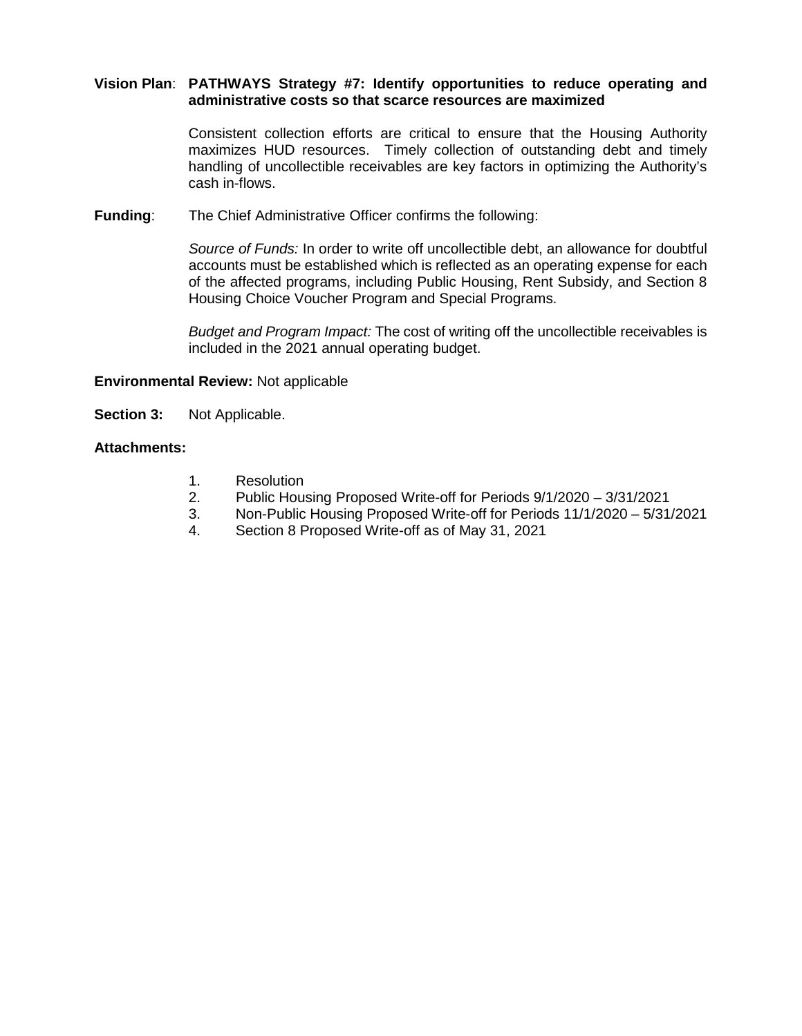## **Vision Plan**: **PATHWAYS Strategy #7: Identify opportunities to reduce operating and administrative costs so that scarce resources are maximized**

Consistent collection efforts are critical to ensure that the Housing Authority maximizes HUD resources. Timely collection of outstanding debt and timely handling of uncollectible receivables are key factors in optimizing the Authority's cash in-flows.

**Funding**: The Chief Administrative Officer confirms the following:

*Source of Funds:* In order to write off uncollectible debt, an allowance for doubtful accounts must be established which is reflected as an operating expense for each of the affected programs, including Public Housing, Rent Subsidy, and Section 8 Housing Choice Voucher Program and Special Programs.

*Budget and Program Impact:* The cost of writing off the uncollectible receivables is included in the 2021 annual operating budget.

## **Environmental Review:** Not applicable

**Section 3:** Not Applicable.

#### **Attachments:**

- 1. Resolution
- 2. Public Housing Proposed Write-off for Periods 9/1/2020 3/31/2021
- 3. Non-Public Housing Proposed Write-off for Periods 11/1/2020 5/31/2021
- 4. Section 8 Proposed Write-off as of May 31, 2021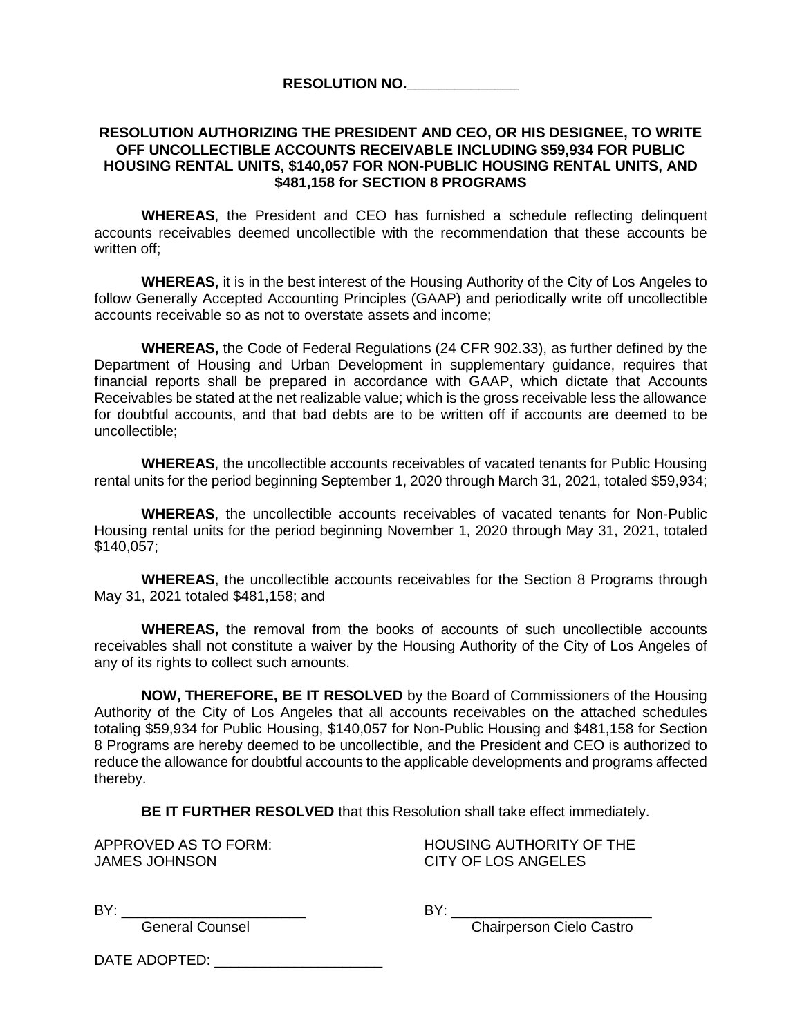**RESOLUTION NO.\_\_\_\_\_\_\_\_\_\_\_\_\_\_**

### **RESOLUTION AUTHORIZING THE PRESIDENT AND CEO, OR HIS DESIGNEE, TO WRITE OFF UNCOLLECTIBLE ACCOUNTS RECEIVABLE INCLUDING \$59,934 FOR PUBLIC HOUSING RENTAL UNITS, \$140,057 FOR NON-PUBLIC HOUSING RENTAL UNITS, AND \$481,158 for SECTION 8 PROGRAMS**

**WHEREAS**, the President and CEO has furnished a schedule reflecting delinquent accounts receivables deemed uncollectible with the recommendation that these accounts be written off;

**WHEREAS,** it is in the best interest of the Housing Authority of the City of Los Angeles to follow Generally Accepted Accounting Principles (GAAP) and periodically write off uncollectible accounts receivable so as not to overstate assets and income;

**WHEREAS,** the Code of Federal Regulations (24 CFR 902.33), as further defined by the Department of Housing and Urban Development in supplementary guidance, requires that financial reports shall be prepared in accordance with GAAP, which dictate that Accounts Receivables be stated at the net realizable value; which is the gross receivable less the allowance for doubtful accounts, and that bad debts are to be written off if accounts are deemed to be uncollectible;

**WHEREAS**, the uncollectible accounts receivables of vacated tenants for Public Housing rental units for the period beginning September 1, 2020 through March 31, 2021, totaled \$59,934;

**WHEREAS**, the uncollectible accounts receivables of vacated tenants for Non-Public Housing rental units for the period beginning November 1, 2020 through May 31, 2021, totaled \$140,057;

**WHEREAS**, the uncollectible accounts receivables for the Section 8 Programs through May 31, 2021 totaled \$481,158; and

**WHEREAS,** the removal from the books of accounts of such uncollectible accounts receivables shall not constitute a waiver by the Housing Authority of the City of Los Angeles of any of its rights to collect such amounts.

**NOW, THEREFORE, BE IT RESOLVED** by the Board of Commissioners of the Housing Authority of the City of Los Angeles that all accounts receivables on the attached schedules totaling \$59,934 for Public Housing, \$140,057 for Non-Public Housing and \$481,158 for Section 8 Programs are hereby deemed to be uncollectible, and the President and CEO is authorized to reduce the allowance for doubtful accounts to the applicable developments and programs affected thereby.

**BE IT FURTHER RESOLVED** that this Resolution shall take effect immediately.

JAMES JOHNSON CITY OF LOS ANGELES

APPROVED AS TO FORM: HOUSING AUTHORITY OF THE

BY: \_\_\_\_\_\_\_\_\_\_\_\_\_\_\_\_\_\_\_\_\_\_\_ BY: \_\_\_\_\_\_\_\_\_\_\_\_\_\_\_\_\_\_\_\_\_\_\_\_\_

General Counsel Chairperson Cielo Castro

DATE ADOPTED:  $\blacksquare$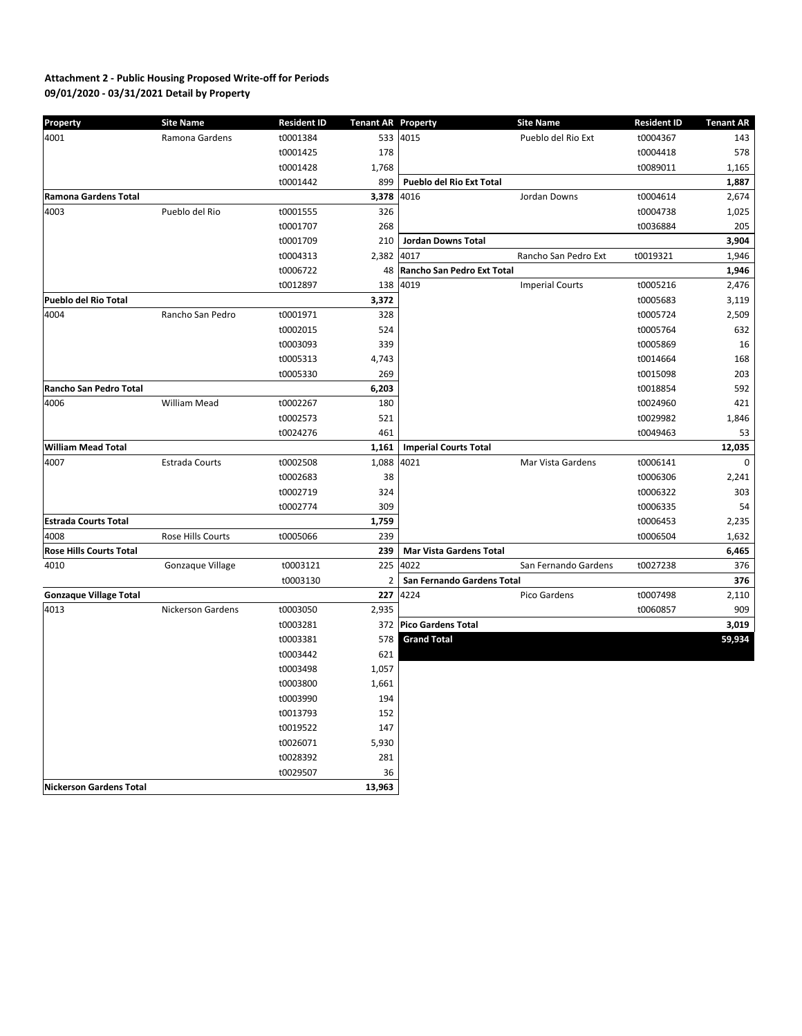# **09/01/2020 - 03/31/2021 Detail by Property Attachment 2 - Public Housing Proposed Write-off for Periods**

| <b>Property</b>                | <b>Site Name</b>  | <b>Resident ID</b> | <b>Tenant AR Property</b> |                                 | <b>Site Name</b>       | <b>Resident ID</b> | <b>Tenant AR</b> |
|--------------------------------|-------------------|--------------------|---------------------------|---------------------------------|------------------------|--------------------|------------------|
| 4001                           | Ramona Gardens    | t0001384           |                           | 533 4015                        | Pueblo del Rio Ext     | t0004367           | 143              |
|                                |                   | t0001425           | 178                       |                                 |                        | t0004418           | 578              |
|                                |                   | t0001428           | 1,768                     |                                 |                        | t0089011           | 1,165            |
|                                |                   | t0001442           | 899                       | <b>Pueblo del Rio Ext Total</b> |                        |                    | 1,887            |
| <b>Ramona Gardens Total</b>    |                   |                    | 3,378                     | 4016                            | Jordan Downs           | t0004614           | 2,674            |
| 4003                           | Pueblo del Rio    | t0001555           | 326                       |                                 |                        | t0004738           | 1,025            |
|                                |                   | t0001707           | 268                       |                                 |                        | t0036884           | 205              |
|                                |                   | t0001709           | 210                       | <b>Jordan Downs Total</b>       |                        |                    | 3,904            |
|                                |                   | t0004313           | 2,382                     | 4017                            | Rancho San Pedro Ext   | t0019321           | 1,946            |
|                                |                   | t0006722           | 48                        | Rancho San Pedro Ext Total      |                        |                    | 1,946            |
|                                |                   | t0012897           | 138                       | 4019                            | <b>Imperial Courts</b> | t0005216           | 2,476            |
| <b>Pueblo del Rio Total</b>    |                   |                    | 3,372                     |                                 |                        | t0005683           | 3,119            |
| 4004                           | Rancho San Pedro  | t0001971           | 328                       |                                 |                        | t0005724           | 2,509            |
|                                |                   | t0002015           | 524                       |                                 |                        | t0005764           | 632              |
|                                |                   | t0003093           | 339                       |                                 |                        | t0005869           | 16               |
|                                |                   | t0005313           | 4,743                     |                                 |                        | t0014664           | 168              |
|                                |                   | t0005330           | 269                       |                                 |                        | t0015098           | 203              |
| <b>Rancho San Pedro Total</b>  |                   |                    | 6,203                     |                                 |                        | t0018854           | 592              |
| 4006                           | William Mead      | t0002267           | 180                       |                                 |                        | t0024960           | 421              |
|                                |                   | t0002573           | 521                       |                                 |                        | t0029982           | 1,846            |
|                                |                   | t0024276           | 461                       |                                 |                        | t0049463           | 53               |
| <b>William Mead Total</b>      |                   |                    | 1,161                     | <b>Imperial Courts Total</b>    |                        |                    | 12,035           |
| 4007                           | Estrada Courts    | t0002508           | 1,088                     | 4021                            | Mar Vista Gardens      | t0006141           | 0                |
|                                |                   | t0002683           | 38                        |                                 |                        | t0006306           | 2,241            |
|                                |                   | t0002719           | 324                       |                                 |                        | t0006322           | 303              |
|                                |                   | t0002774           | 309                       |                                 |                        | t0006335           | 54               |
| <b>Estrada Courts Total</b>    |                   |                    | 1,759                     |                                 |                        | t0006453           | 2,235            |
| 4008                           | Rose Hills Courts | t0005066           | 239                       |                                 |                        | t0006504           | 1,632            |
| <b>Rose Hills Courts Total</b> |                   |                    | 239                       | <b>Mar Vista Gardens Total</b>  |                        |                    | 6,465            |
| 4010                           | Gonzaque Village  | t0003121           |                           | 225 4022                        | San Fernando Gardens   | t0027238           | 376              |
|                                |                   | t0003130           | 2                         | San Fernando Gardens Total      |                        |                    | 376              |
| <b>Gonzaque Village Total</b>  |                   |                    | 227                       | 4224                            | Pico Gardens           | t0007498           | 2,110            |
| 4013                           | Nickerson Gardens | t0003050           | 2,935                     |                                 |                        | t0060857           | 909              |
|                                |                   | t0003281           | 372                       | <b>Pico Gardens Total</b>       |                        |                    | 3,019            |
|                                |                   | t0003381           | 578                       | <b>Grand Total</b>              |                        |                    | 59,934           |
|                                |                   | t0003442           | 621                       |                                 |                        |                    |                  |
|                                |                   | t0003498           | 1,057                     |                                 |                        |                    |                  |
|                                |                   | t0003800           | 1,661                     |                                 |                        |                    |                  |
|                                |                   | t0003990           | 194                       |                                 |                        |                    |                  |
|                                |                   | t0013793           | 152                       |                                 |                        |                    |                  |
|                                |                   | t0019522           | 147                       |                                 |                        |                    |                  |
|                                |                   | t0026071           | 5,930                     |                                 |                        |                    |                  |
|                                |                   | t0028392           | 281                       |                                 |                        |                    |                  |
|                                |                   | t0029507           | 36                        |                                 |                        |                    |                  |
| <b>Nickerson Gardens Total</b> |                   |                    | 13,963                    |                                 |                        |                    |                  |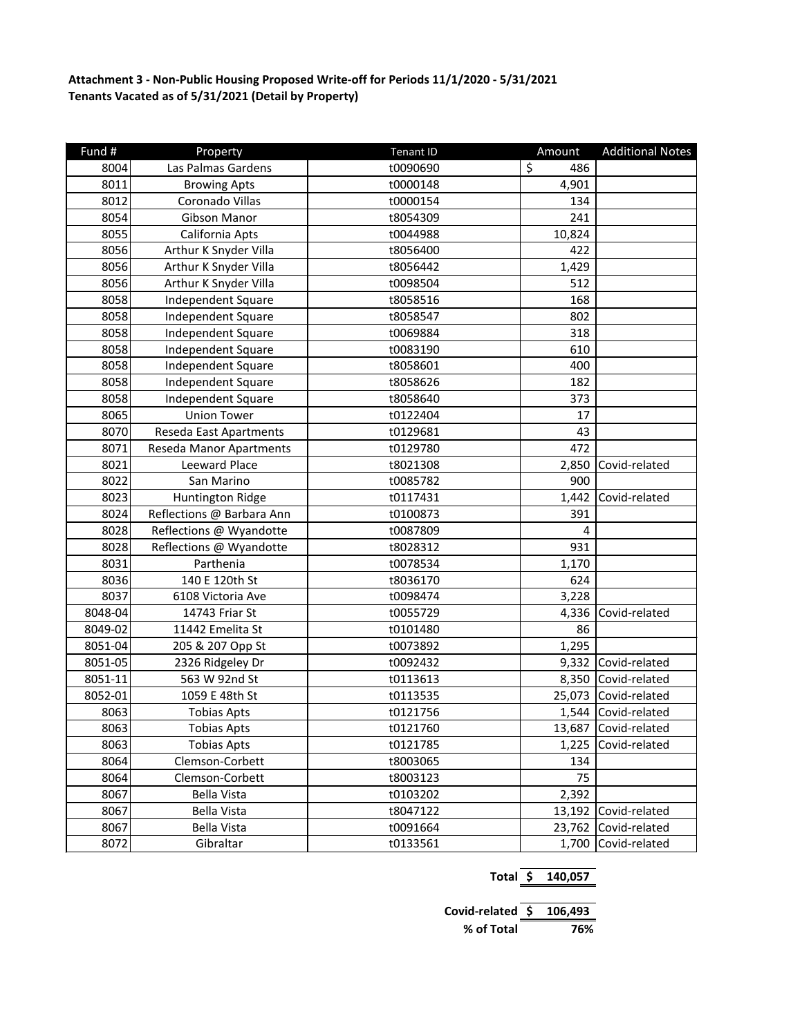**Attachment 3 - Non-Public Housing Proposed Write-off for Periods 11/1/2020 - 5/31/2021 Tenants Vacated as of 5/31/2021 (Detail by Property)**

| Fund #  | Property                  | <b>Tenant ID</b> | Amount    | <b>Additional Notes</b> |
|---------|---------------------------|------------------|-----------|-------------------------|
| 8004    | Las Palmas Gardens        | t0090690         | \$<br>486 |                         |
| 8011    | <b>Browing Apts</b>       | t0000148         | 4,901     |                         |
| 8012    | Coronado Villas           | t0000154         | 134       |                         |
| 8054    | Gibson Manor              | t8054309         | 241       |                         |
| 8055    | California Apts           | t0044988         | 10,824    |                         |
| 8056    | Arthur K Snyder Villa     | t8056400         | 422       |                         |
| 8056    | Arthur K Snyder Villa     | t8056442         | 1,429     |                         |
| 8056    | Arthur K Snyder Villa     | t0098504         | 512       |                         |
| 8058    | <b>Independent Square</b> | t8058516         | 168       |                         |
| 8058    | <b>Independent Square</b> | t8058547         | 802       |                         |
| 8058    | Independent Square        | t0069884         | 318       |                         |
| 8058    | Independent Square        | t0083190         | 610       |                         |
| 8058    | <b>Independent Square</b> | t8058601         | 400       |                         |
| 8058    | Independent Square        | t8058626         | 182       |                         |
| 8058    | <b>Independent Square</b> | t8058640         | 373       |                         |
| 8065    | <b>Union Tower</b>        | t0122404         | 17        |                         |
| 8070    | Reseda East Apartments    | t0129681         | 43        |                         |
| 8071    | Reseda Manor Apartments   | t0129780         | 472       |                         |
| 8021    | Leeward Place             | t8021308         | 2,850     | Covid-related           |
| 8022    | San Marino                | t0085782         | 900       |                         |
| 8023    | <b>Huntington Ridge</b>   | t0117431         | 1,442     | Covid-related           |
| 8024    | Reflections @ Barbara Ann | t0100873         | 391       |                         |
| 8028    | Reflections @ Wyandotte   | t0087809         | 4         |                         |
| 8028    | Reflections @ Wyandotte   | t8028312         | 931       |                         |
| 8031    | Parthenia                 | t0078534         | 1,170     |                         |
| 8036    | 140 E 120th St            | t8036170         | 624       |                         |
| 8037    | 6108 Victoria Ave         | t0098474         | 3,228     |                         |
| 8048-04 | 14743 Friar St            | t0055729         | 4,336     | Covid-related           |
| 8049-02 | 11442 Emelita St          | t0101480         | 86        |                         |
| 8051-04 | 205 & 207 Opp St          | t0073892         | 1,295     |                         |
| 8051-05 | 2326 Ridgeley Dr          | t0092432         | 9,332     | Covid-related           |
| 8051-11 | 563 W 92nd St             | t0113613         | 8,350     | Covid-related           |
| 8052-01 | 1059 E 48th St            | t0113535         | 25,073    | Covid-related           |
| 8063    | <b>Tobias Apts</b>        | t0121756         | 1,544     | Covid-related           |
| 8063    | <b>Tobias Apts</b>        | t0121760         | 13,687    | Covid-related           |
| 8063    | <b>Tobias Apts</b>        | t0121785         | 1,225     | Covid-related           |
| 8064    | Clemson-Corbett           | t8003065         | 134       |                         |
| 8064    | Clemson-Corbett           | t8003123         | 75        |                         |
| 8067    | <b>Bella Vista</b>        | t0103202         | 2,392     |                         |
| 8067    | <b>Bella Vista</b>        | t8047122         | 13,192    | Covid-related           |
| 8067    | <b>Bella Vista</b>        | t0091664         | 23,762    | Covid-related           |
| 8072    | Gibraltar                 | t0133561         | 1,700     | Covid-related           |

| Total \$                 | 140,057 |  |  |
|--------------------------|---------|--|--|
|                          |         |  |  |
| Covid-related $$106,493$ |         |  |  |
| % of Total               | 76%     |  |  |